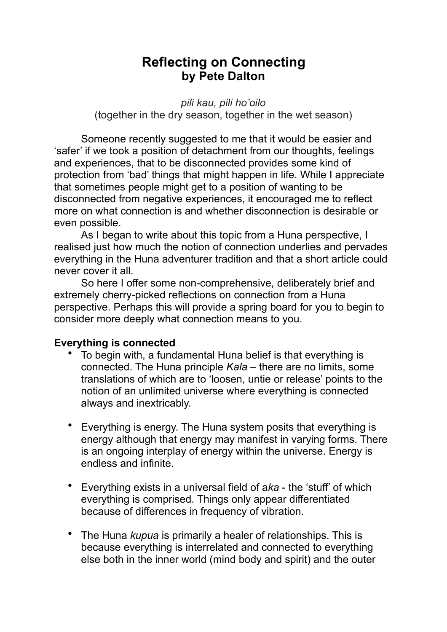# **Reflecting on Connecting by Pete Dalton**

*pili kau, pili ho'oilo* 

(together in the dry season, together in the wet season)

 Someone recently suggested to me that it would be easier and 'safer' if we took a position of detachment from our thoughts, feelings and experiences, that to be disconnected provides some kind of protection from 'bad' things that might happen in life. While I appreciate that sometimes people might get to a position of wanting to be disconnected from negative experiences, it encouraged me to reflect more on what connection is and whether disconnection is desirable or even possible.

 As I began to write about this topic from a Huna perspective, I realised just how much the notion of connection underlies and pervades everything in the Huna adventurer tradition and that a short article could never cover it all.

 So here I offer some non-comprehensive, deliberately brief and extremely cherry-picked reflections on connection from a Huna perspective. Perhaps this will provide a spring board for you to begin to consider more deeply what connection means to you.

## **Everything is connected**

- To begin with, a fundamental Huna belief is that everything is connected. The Huna principle *Kala* – there are no limits, some translations of which are to 'loosen, untie or release' points to the notion of an unlimited universe where everything is connected always and inextricably.
- Everything is energy. The Huna system posits that everything is energy although that energy may manifest in varying forms. There is an ongoing interplay of energy within the universe. Energy is endless and infinite.
- Everything exists in a universal field of a*ka* the 'stuff' of which everything is comprised. Things only appear differentiated because of differences in frequency of vibration.
- The Huna *kupua* is primarily a healer of relationships. This is because everything is interrelated and connected to everything else both in the inner world (mind body and spirit) and the outer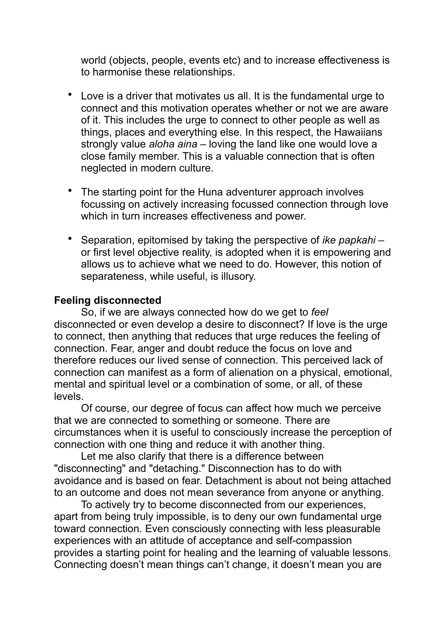world (objects, people, events etc) and to increase effectiveness is to harmonise these relationships.

- Love is a driver that motivates us all. It is the fundamental urge to connect and this motivation operates whether or not we are aware of it. This includes the urge to connect to other people as well as things, places and everything else. In this respect, the Hawaiians strongly value *aloha aina* – loving the land like one would love a close family member. This is a valuable connection that is often neglected in modern culture.
- The starting point for the Huna adventurer approach involves focussing on actively increasing focussed connection through love which in turn increases effectiveness and power.
- Separation, epitomised by taking the perspective of *ike papkahi* or first level objective reality, is adopted when it is empowering and allows us to achieve what we need to do. However, this notion of separateness, while useful, is illusory.

#### **Feeling disconnected**

 So, if we are always connected how do we get to *feel* disconnected or even develop a desire to disconnect? If love is the urge to connect, then anything that reduces that urge reduces the feeling of connection. Fear, anger and doubt reduce the focus on love and therefore reduces our lived sense of connection. This perceived lack of connection can manifest as a form of alienation on a physical, emotional, mental and spiritual level or a combination of some, or all, of these levels.

 Of course, our degree of focus can affect how much we perceive that we are connected to something or someone. There are circumstances when it is useful to consciously increase the perception of connection with one thing and reduce it with another thing.

 Let me also clarify that there is a difference between "disconnecting" and "detaching." Disconnection has to do with avoidance and is based on fear. Detachment is about not being attached to an outcome and does not mean severance from anyone or anything.

 To actively try to become disconnected from our experiences, apart from being truly impossible, is to deny our own fundamental urge toward connection. Even consciously connecting with less pleasurable experiences with an attitude of acceptance and self-compassion provides a starting point for healing and the learning of valuable lessons. Connecting doesn't mean things can't change, it doesn't mean you are